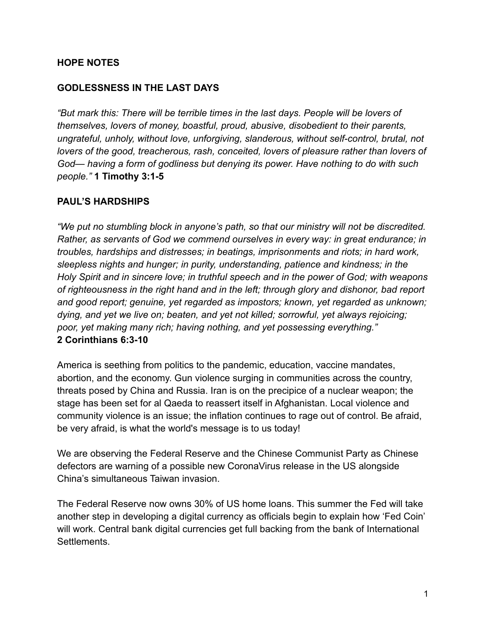#### **HOPE NOTES**

#### **GODLESSNESS IN THE LAST DAYS**

*"But mark this: There will be terrible times in the last days. People will be lovers of themselves, lovers of money, boastful, proud, abusive, disobedient to their parents, ungrateful, unholy, without love, unforgiving, slanderous, without self-control, brutal, not lovers of the good, treacherous, rash, conceited, lovers of pleasure rather than lovers of God— having a form of godliness but denying its power. Have nothing to do with such people."* **1 Timothy 3:1-5**

#### **PAUL'S HARDSHIPS**

*"We put no stumbling block in anyone's path, so that our ministry will not be discredited. Rather, as servants of God we commend ourselves in every way: in great endurance; in troubles, hardships and distresses; in beatings, imprisonments and riots; in hard work, sleepless nights and hunger; in purity, understanding, patience and kindness; in the Holy Spirit and in sincere love; in truthful speech and in the power of God; with weapons of righteousness in the right hand and in the left; through glory and dishonor, bad report and good report; genuine, yet regarded as impostors; known, yet regarded as unknown; dying, and yet we live on; beaten, and yet not killed; sorrowful, yet always rejoicing; poor, yet making many rich; having nothing, and yet possessing everything."* **2 Corinthians 6:3-10**

America is seething from politics to the pandemic, education, vaccine mandates, abortion, and the economy. Gun violence surging in communities across the country, threats posed by China and Russia. Iran is on the precipice of a nuclear weapon; the stage has been set for al Qaeda to reassert itself in Afghanistan. Local violence and community violence is an issue; the inflation continues to rage out of control. Be afraid, be very afraid, is what the world's message is to us today!

We are observing the Federal Reserve and the Chinese Communist Party as Chinese defectors are warning of a possible new CoronaVirus release in the US alongside China's simultaneous Taiwan invasion.

The Federal Reserve now owns 30% of US home loans. This summer the Fed will take another step in developing a digital currency as officials begin to explain how 'Fed Coin' will work. Central bank digital currencies get full backing from the bank of International Settlements.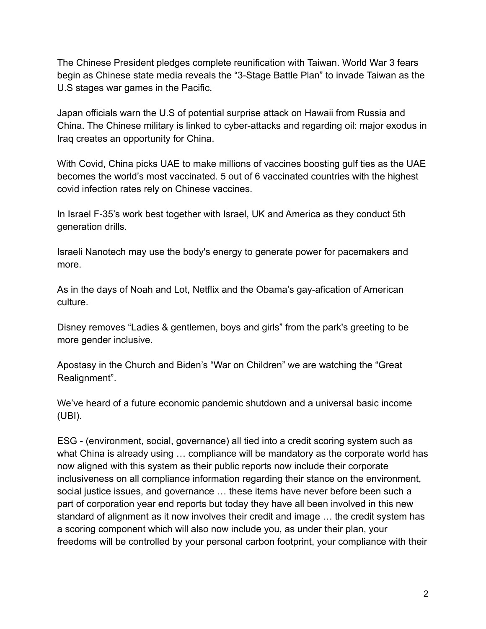The Chinese President pledges complete reunification with Taiwan. World War 3 fears begin as Chinese state media reveals the "3-Stage Battle Plan" to invade Taiwan as the U.S stages war games in the Pacific.

Japan officials warn the U.S of potential surprise attack on Hawaii from Russia and China. The Chinese military is linked to cyber-attacks and regarding oil: major exodus in Iraq creates an opportunity for China.

With Covid, China picks UAE to make millions of vaccines boosting gulf ties as the UAE becomes the world's most vaccinated. 5 out of 6 vaccinated countries with the highest covid infection rates rely on Chinese vaccines.

In Israel F-35's work best together with Israel, UK and America as they conduct 5th generation drills.

Israeli Nanotech may use the body's energy to generate power for pacemakers and more.

As in the days of Noah and Lot, Netflix and the Obama's gay-afication of American culture.

Disney removes "Ladies & gentlemen, boys and girls" from the park's greeting to be more gender inclusive.

Apostasy in the Church and Biden's "War on Children" we are watching the "Great Realignment".

We've heard of a future economic pandemic shutdown and a universal basic income (UBI).

ESG - (environment, social, governance) all tied into a credit scoring system such as what China is already using ... compliance will be mandatory as the corporate world has now aligned with this system as their public reports now include their corporate inclusiveness on all compliance information regarding their stance on the environment, social justice issues, and governance … these items have never before been such a part of corporation year end reports but today they have all been involved in this new standard of alignment as it now involves their credit and image … the credit system has a scoring component which will also now include you, as under their plan, your freedoms will be controlled by your personal carbon footprint, your compliance with their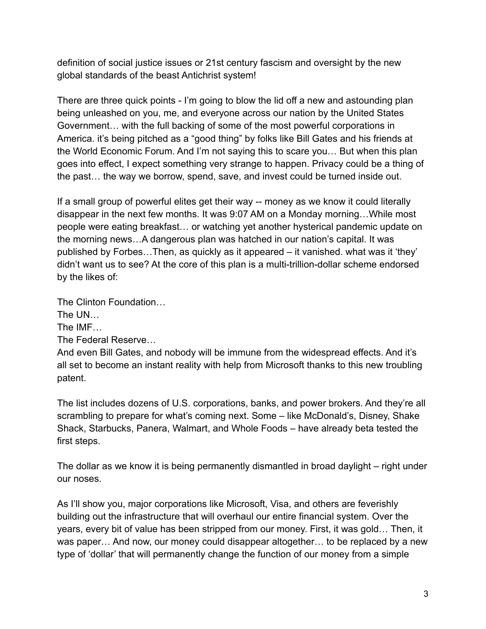definition of social justice issues or 21st century fascism and oversight by the new global standards of the beast Antichrist system!

There are three quick points - I'm going to blow the lid off a new and astounding plan being unleashed on you, me, and everyone across our nation by the United States Government… with the full backing of some of the most powerful corporations in America. it's being pitched as a "good thing" by folks like Bill Gates and his friends at the World Economic Forum. And I'm not saying this to scare you… But when this plan goes into effect, I expect something very strange to happen. Privacy could be a thing of the past… the way we borrow, spend, save, and invest could be turned inside out.

If a small group of powerful elites get their way -- money as we know it could literally disappear in the next few months. It was 9:07 AM on a Monday morning…While most people were eating breakfast… or watching yet another hysterical pandemic update on the morning news…A dangerous plan was hatched in our nation's capital. It was published by Forbes…Then, as quickly as it appeared – it vanished. what was it 'they' didn't want us to see? At the core of this plan is a multi-trillion-dollar scheme endorsed by the likes of:

The Clinton Foundation…

The UN…

The IMF…

The Federal Reserve…

And even Bill Gates, and nobody will be immune from the widespread effects. And it's all set to become an instant reality with help from Microsoft thanks to this new troubling patent.

The list includes dozens of U.S. corporations, banks, and power brokers. And they're all scrambling to prepare for what's coming next. Some – like McDonald's, Disney, Shake Shack, Starbucks, Panera, Walmart, and Whole Foods – have already beta tested the first steps.

The dollar as we know it is being permanently dismantled in broad daylight – right under our noses.

As I'll show you, major corporations like Microsoft, Visa, and others are feverishly building out the infrastructure that will overhaul our entire financial system. Over the years, every bit of value has been stripped from our money. First, it was gold… Then, it was paper… And now, our money could disappear altogether… to be replaced by a new type of 'dollar' that will permanently change the function of our money from a simple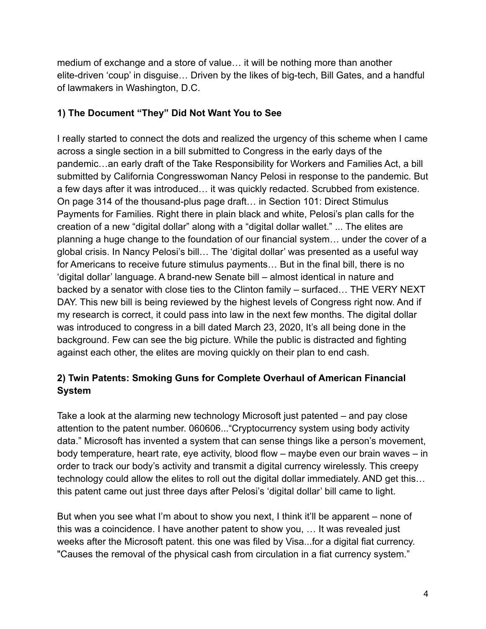medium of exchange and a store of value… it will be nothing more than another elite-driven 'coup' in disguise… Driven by the likes of big-tech, Bill Gates, and a handful of lawmakers in Washington, D.C.

# **1) The Document "They" Did Not Want You to See**

I really started to connect the dots and realized the urgency of this scheme when I came across a single section in a bill submitted to Congress in the early days of the pandemic…an early draft of the Take Responsibility for Workers and Families Act, a bill submitted by California Congresswoman Nancy Pelosi in response to the pandemic. But a few days after it was introduced… it was quickly redacted. Scrubbed from existence. On page 314 of the thousand-plus page draft… in Section 101: Direct Stimulus Payments for Families. Right there in plain black and white, Pelosi's plan calls for the creation of a new "digital dollar" along with a "digital dollar wallet." ... The elites are planning a huge change to the foundation of our financial system… under the cover of a global crisis. In Nancy Pelosi's bill… The 'digital dollar' was presented as a useful way for Americans to receive future stimulus payments… But in the final bill, there is no 'digital dollar' language. A brand-new Senate bill – almost identical in nature and backed by a senator with close ties to the Clinton family – surfaced… THE VERY NEXT DAY. This new bill is being reviewed by the highest levels of Congress right now. And if my research is correct, it could pass into law in the next few months. The digital dollar was introduced to congress in a bill dated March 23, 2020, It's all being done in the background. Few can see the big picture. While the public is distracted and fighting against each other, the elites are moving quickly on their plan to end cash.

# **2) Twin Patents: Smoking Guns for Complete Overhaul of American Financial System**

Take a look at the alarming new technology Microsoft just patented – and pay close attention to the patent number. 060606..."Cryptocurrency system using body activity data." Microsoft has invented a system that can sense things like a person's movement, body temperature, heart rate, eye activity, blood flow – maybe even our brain waves – in order to track our body's activity and transmit a digital currency wirelessly. This creepy technology could allow the elites to roll out the digital dollar immediately. AND get this… this patent came out just three days after Pelosi's 'digital dollar' bill came to light.

But when you see what I'm about to show you next, I think it'll be apparent – none of this was a coincidence. I have another patent to show you, … It was revealed just weeks after the Microsoft patent. this one was filed by Visa...for a digital fiat currency. "Causes the removal of the physical cash from circulation in a fiat currency system."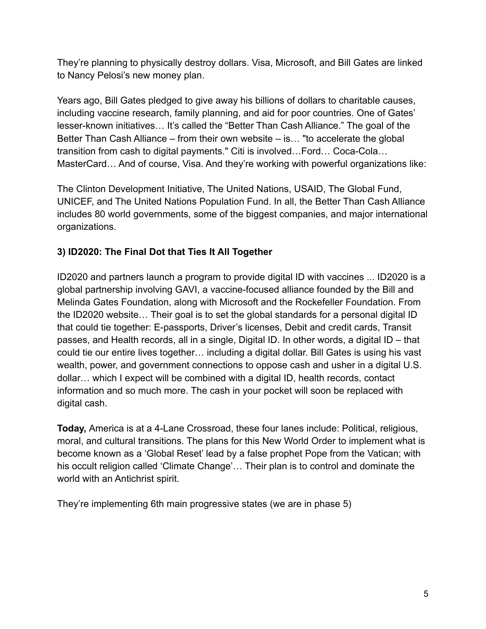They're planning to physically destroy dollars. Visa, Microsoft, and Bill Gates are linked to Nancy Pelosi's new money plan.

Years ago, Bill Gates pledged to give away his billions of dollars to charitable causes, including vaccine research, family planning, and aid for poor countries. One of Gates' lesser-known initiatives… It's called the "Better Than Cash Alliance." The goal of the Better Than Cash Alliance – from their own website – is… "to accelerate the global transition from cash to digital payments." Citi is involved…Ford… Coca-Cola… MasterCard… And of course, Visa. And they're working with powerful organizations like:

The Clinton Development Initiative, The United Nations, USAID, The Global Fund, UNICEF, and The United Nations Population Fund. In all, the Better Than Cash Alliance includes 80 world governments, some of the biggest companies, and major international organizations.

# **3) ID2020: The Final Dot that Ties It All Together**

ID2020 and partners launch a program to provide digital ID with vaccines ... ID2020 is a global partnership involving GAVI, a vaccine-focused alliance founded by the Bill and Melinda Gates Foundation, along with Microsoft and the Rockefeller Foundation. From the ID2020 website… Their goal is to set the global standards for a personal digital ID that could tie together: E-passports, Driver's licenses, Debit and credit cards, Transit passes, and Health records, all in a single, Digital ID. In other words, a digital ID – that could tie our entire lives together… including a digital dollar. Bill Gates is using his vast wealth, power, and government connections to oppose cash and usher in a digital U.S. dollar… which I expect will be combined with a digital ID, health records, contact information and so much more. The cash in your pocket will soon be replaced with digital cash.

**Today,** America is at a 4-Lane Crossroad, these four lanes include: Political, religious, moral, and cultural transitions. The plans for this New World Order to implement what is become known as a 'Global Reset' lead by a false prophet Pope from the Vatican; with his occult religion called 'Climate Change'… Their plan is to control and dominate the world with an Antichrist spirit.

They're implementing 6th main progressive states (we are in phase 5)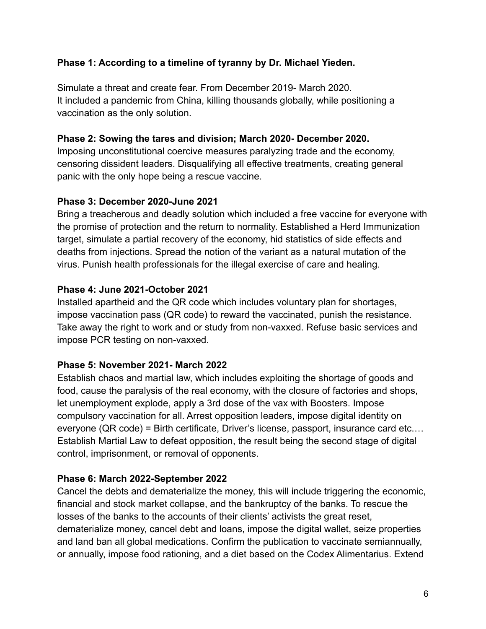## **Phase 1: According to a timeline of tyranny by Dr. Michael Yieden.**

Simulate a threat and create fear. From December 2019- March 2020. It included a pandemic from China, killing thousands globally, while positioning a vaccination as the only solution.

#### **Phase 2: Sowing the tares and division; March 2020- December 2020.**

Imposing unconstitutional coercive measures paralyzing trade and the economy, censoring dissident leaders. Disqualifying all effective treatments, creating general panic with the only hope being a rescue vaccine.

## **Phase 3: December 2020-June 2021**

Bring a treacherous and deadly solution which included a free vaccine for everyone with the promise of protection and the return to normality. Established a Herd Immunization target, simulate a partial recovery of the economy, hid statistics of side effects and deaths from injections. Spread the notion of the variant as a natural mutation of the virus. Punish health professionals for the illegal exercise of care and healing.

## **Phase 4: June 2021-October 2021**

Installed apartheid and the QR code which includes voluntary plan for shortages, impose vaccination pass (QR code) to reward the vaccinated, punish the resistance. Take away the right to work and or study from non-vaxxed. Refuse basic services and impose PCR testing on non-vaxxed.

## **Phase 5: November 2021- March 2022**

Establish chaos and martial law, which includes exploiting the shortage of goods and food, cause the paralysis of the real economy, with the closure of factories and shops, let unemployment explode, apply a 3rd dose of the vax with Boosters. Impose compulsory vaccination for all. Arrest opposition leaders, impose digital identity on everyone (QR code) = Birth certificate, Driver's license, passport, insurance card etc.… Establish Martial Law to defeat opposition, the result being the second stage of digital control, imprisonment, or removal of opponents.

## **Phase 6: March 2022-September 2022**

Cancel the debts and dematerialize the money, this will include triggering the economic, financial and stock market collapse, and the bankruptcy of the banks. To rescue the losses of the banks to the accounts of their clients' activists the great reset, dematerialize money, cancel debt and loans, impose the digital wallet, seize properties and land ban all global medications. Confirm the publication to vaccinate semiannually, or annually, impose food rationing, and a diet based on the Codex Alimentarius. Extend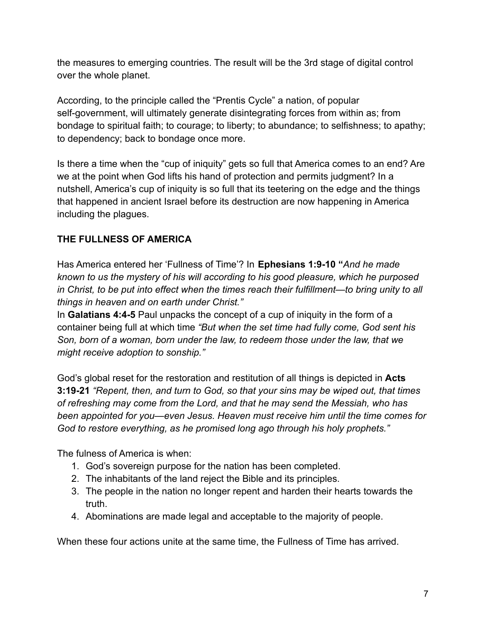the measures to emerging countries. The result will be the 3rd stage of digital control over the whole planet.

According, to the principle called the "Prentis Cycle" a nation, of popular self-government, will ultimately generate disintegrating forces from within as; from bondage to spiritual faith; to courage; to liberty; to abundance; to selfishness; to apathy; to dependency; back to bondage once more.

Is there a time when the "cup of iniquity" gets so full that America comes to an end? Are we at the point when God lifts his hand of protection and permits judgment? In a nutshell, America's cup of iniquity is so full that its teetering on the edge and the things that happened in ancient Israel before its destruction are now happening in America including the plagues.

# **THE FULLNESS OF AMERICA**

Has America entered her 'Fullness of Time'? In **Ephesians 1:9-10 "***And he made known to us the mystery of his will according to his good pleasure, which he purposed in Christ, to be put into effect when the times reach their fulfillment—to bring unity to all things in heaven and on earth under Christ."*

In **Galatians 4:4-5** Paul unpacks the concept of a cup of iniquity in the form of a container being full at which time *"But when the set time had fully come, God sent his Son, born of a woman, born under the law, to redeem those under the law, that we might receive adoption to sonship."*

God's global reset for the restoration and restitution of all things is depicted in **Acts 3:19-21** *"Repent, then, and turn to God, so that your sins may be wiped out, that times of refreshing may come from the Lord, and that he may send the Messiah, who has been appointed for you—even Jesus. Heaven must receive him until the time comes for God to restore everything, as he promised long ago through his holy prophets."*

The fulness of America is when:

- 1. God's sovereign purpose for the nation has been completed.
- 2. The inhabitants of the land reject the Bible and its principles.
- 3. The people in the nation no longer repent and harden their hearts towards the truth.
- 4. Abominations are made legal and acceptable to the majority of people.

When these four actions unite at the same time, the Fullness of Time has arrived.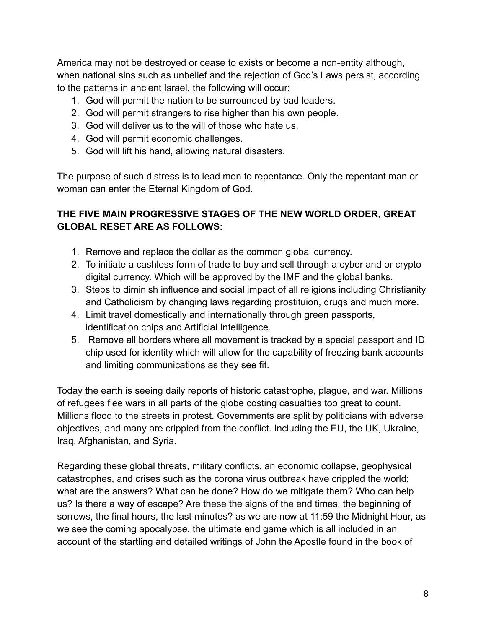America may not be destroyed or cease to exists or become a non-entity although, when national sins such as unbelief and the rejection of God's Laws persist, according to the patterns in ancient Israel, the following will occur:

- 1. God will permit the nation to be surrounded by bad leaders.
- 2. God will permit strangers to rise higher than his own people.
- 3. God will deliver us to the will of those who hate us.
- 4. God will permit economic challenges.
- 5. God will lift his hand, allowing natural disasters.

The purpose of such distress is to lead men to repentance. Only the repentant man or woman can enter the Eternal Kingdom of God.

# **THE FIVE MAIN PROGRESSIVE STAGES OF THE NEW WORLD ORDER, GREAT GLOBAL RESET ARE AS FOLLOWS:**

- 1. Remove and replace the dollar as the common global currency.
- 2. To initiate a cashless form of trade to buy and sell through a cyber and or crypto digital currency. Which will be approved by the IMF and the global banks.
- 3. Steps to diminish influence and social impact of all religions including Christianity and Catholicism by changing laws regarding prostituion, drugs and much more.
- 4. Limit travel domestically and internationally through green passports, identification chips and Artificial Intelligence.
- 5. Remove all borders where all movement is tracked by a special passport and ID chip used for identity which will allow for the capability of freezing bank accounts and limiting communications as they see fit.

Today the earth is seeing daily reports of historic catastrophe, plague, and war. Millions of refugees flee wars in all parts of the globe costing casualties too great to count. Millions flood to the streets in protest. Governments are split by politicians with adverse objectives, and many are crippled from the conflict. Including the EU, the UK, Ukraine, Iraq, Afghanistan, and Syria.

Regarding these global threats, military conflicts, an economic collapse, geophysical catastrophes, and crises such as the corona virus outbreak have crippled the world; what are the answers? What can be done? How do we mitigate them? Who can help us? Is there a way of escape? Are these the signs of the end times, the beginning of sorrows, the final hours, the last minutes? as we are now at 11:59 the Midnight Hour, as we see the coming apocalypse, the ultimate end game which is all included in an account of the startling and detailed writings of John the Apostle found in the book of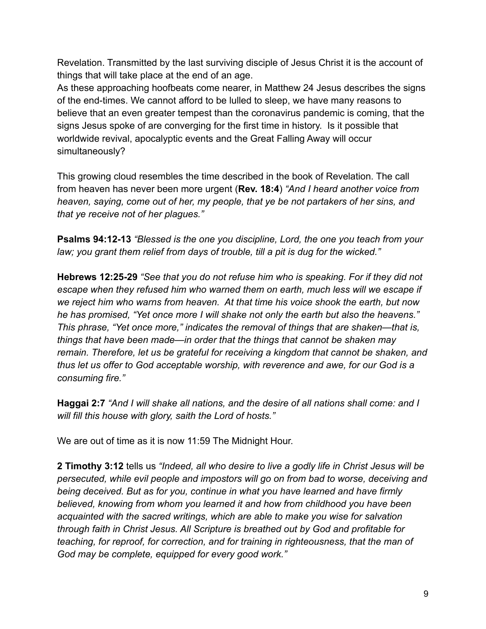Revelation. Transmitted by the last surviving disciple of Jesus Christ it is the account of things that will take place at the end of an age.

As these approaching hoofbeats come nearer, in Matthew 24 Jesus describes the signs of the end-times. We cannot afford to be lulled to sleep, we have many reasons to believe that an even greater tempest than the coronavirus pandemic is coming, that the signs Jesus spoke of are converging for the first time in history. Is it possible that worldwide revival, apocalyptic events and the Great Falling Away will occur simultaneously?

This growing cloud resembles the time described in the book of Revelation. The call from heaven has never been more urgent (**Rev. 18:4**) *"And I heard another voice from heaven, saying, come out of her, my people, that ye be not partakers of her sins, and that ye receive not of her plagues."*

**Psalms 94:12-13** *"Blessed is the one you discipline, Lord, the one you teach from your law; you grant them relief from days of trouble, till a pit is dug for the wicked."*

**Hebrews 12:25-29** *"See that you do not refuse him who is speaking. For if they did not escape when they refused him who warned them on earth, much less will we escape if we reject him who warns from heaven. At that time his voice shook the earth, but now he has promised, "Yet once more I will shake not only the earth but also the heavens." This phrase, "Yet once more," indicates the removal of things that are shaken—that is, things that have been made—in order that the things that cannot be shaken may remain. Therefore, let us be grateful for receiving a kingdom that cannot be shaken, and thus let us offer to God acceptable worship, with reverence and awe, for our God is a consuming fire."*

**Haggai 2:7** *"And I will shake all nations, and the desire of all nations shall come: and I will fill this house with glory, saith the Lord of hosts."*

We are out of time as it is now 11:59 The Midnight Hour.

**2 Timothy 3:12** tells us *"Indeed, all who desire to live a godly life in Christ Jesus will be persecuted, while evil people and impostors will go on from bad to worse, deceiving and being deceived. But as for you, continue in what you have learned and have firmly believed, knowing from whom you learned it and how from childhood you have been acquainted with the sacred writings, which are able to make you wise for salvation through faith in Christ Jesus. All Scripture is breathed out by God and profitable for teaching, for reproof, for correction, and for training in righteousness, that the man of God may be complete, equipped for every good work."*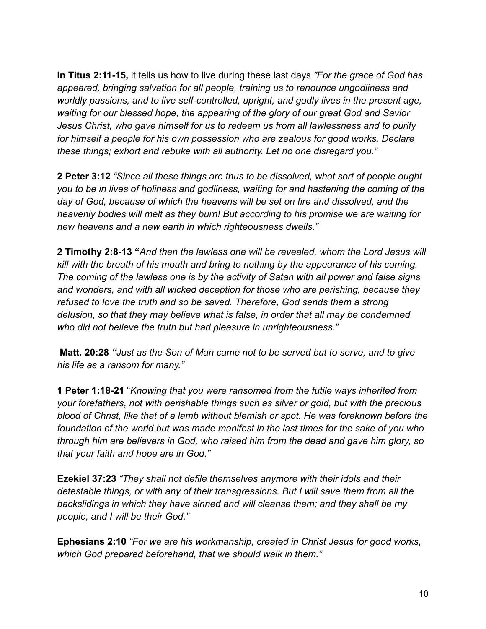**In Titus 2:11-15,** it tells us how to live during these last days *"For the grace of God has appeared, bringing salvation for all people, training us to renounce ungodliness and worldly passions, and to live self-controlled, upright, and godly lives in the present age, waiting for our blessed hope, the appearing of the glory of our great God and Savior Jesus Christ, who gave himself for us to redeem us from all lawlessness and to purify for himself a people for his own possession who are zealous for good works. Declare these things; exhort and rebuke with all authority. Let no one disregard you."*

**2 Peter 3:12** *"Since all these things are thus to be dissolved, what sort of people ought you to be in lives of holiness and godliness, waiting for and hastening the coming of the day of God, because of which the heavens will be set on fire and dissolved, and the heavenly bodies will melt as they burn! But according to his promise we are waiting for new heavens and a new earth in which righteousness dwells."*

**2 Timothy 2:8-13 "***And then the lawless one will be revealed, whom the Lord Jesus will kill with the breath of his mouth and bring to nothing by the appearance of his coming. The coming of the lawless one is by the activity of Satan with all power and false signs and wonders, and with all wicked deception for those who are perishing, because they refused to love the truth and so be saved. Therefore, God sends them a strong delusion, so that they may believe what is false, in order that all may be condemned who did not believe the truth but had pleasure in unrighteousness."*

**Matt. 20:28** *"Just as the Son of Man came not to be served but to serve, and to give his life as a ransom for many."*

**1 Peter 1:18-21** "*Knowing that you were ransomed from the futile ways inherited from your forefathers, not with perishable things such as silver or gold, but with the precious blood of Christ, like that of a lamb without blemish or spot. He was foreknown before the foundation of the world but was made manifest in the last times for the sake of you who through him are believers in God, who raised him from the dead and gave him glory, so that your faith and hope are in God."*

**Ezekiel 37:23** *"They shall not defile themselves anymore with their idols and their detestable things, or with any of their transgressions. But I will save them from all the backslidings in which they have sinned and will cleanse them; and they shall be my people, and I will be their God."*

**Ephesians 2:10** *"For we are his workmanship, created in Christ Jesus for good works, which God prepared beforehand, that we should walk in them."*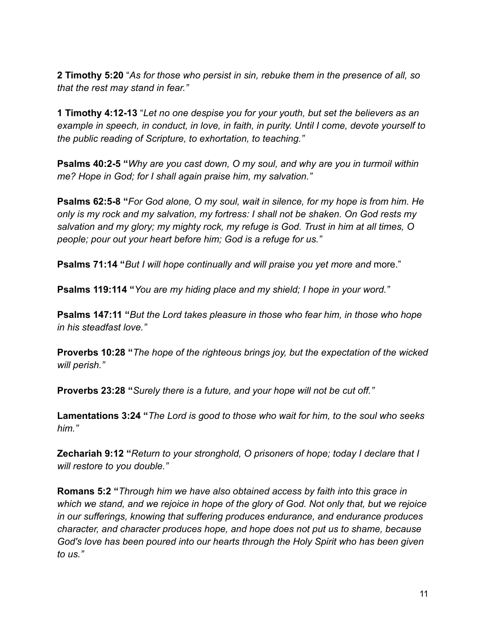**2 Timothy 5:20** "*As for those who persist in sin, rebuke them in the presence of all, so that the rest may stand in fear."*

**1 Timothy 4:12-13** "*Let no one despise you for your youth, but set the believers as an example in speech, in conduct, in love, in faith, in purity. Until I come, devote yourself to the public reading of Scripture, to exhortation, to teaching."*

**Psalms 40:2-5 "***Why are you cast down, O my soul, and why are you in turmoil within me? Hope in God; for I shall again praise him, my salvation."*

**Psalms 62:5-8 "***For God alone, O my soul, wait in silence, for my hope is from him. He only is my rock and my salvation, my fortress: I shall not be shaken. On God rests my salvation and my glory; my mighty rock, my refuge is God. Trust in him at all times, O people; pour out your heart before him; God is a refuge for us."*

**Psalms 71:14 "***But I will hope continually and will praise you yet more and* more."

**Psalms 119:114 "***You are my hiding place and my shield; I hope in your word."*

**Psalms 147:11 "***But the Lord takes pleasure in those who fear him, in those who hope in his steadfast love."*

**Proverbs 10:28 "***The hope of the righteous brings joy, but the expectation of the wicked will perish."*

**Proverbs 23:28 "***Surely there is a future, and your hope will not be cut off."*

**Lamentations 3:24 "***The Lord is good to those who wait for him, to the soul who seeks him."*

**Zechariah 9:12 "***Return to your stronghold, O prisoners of hope; today I declare that I will restore to you double."*

**Romans 5:2 "***Through him we have also obtained access by faith into this grace in which we stand, and we rejoice in hope of the glory of God. Not only that, but we rejoice in our sufferings, knowing that suffering produces endurance, and endurance produces character, and character produces hope, and hope does not put us to shame, because God's love has been poured into our hearts through the Holy Spirit who has been given to us."*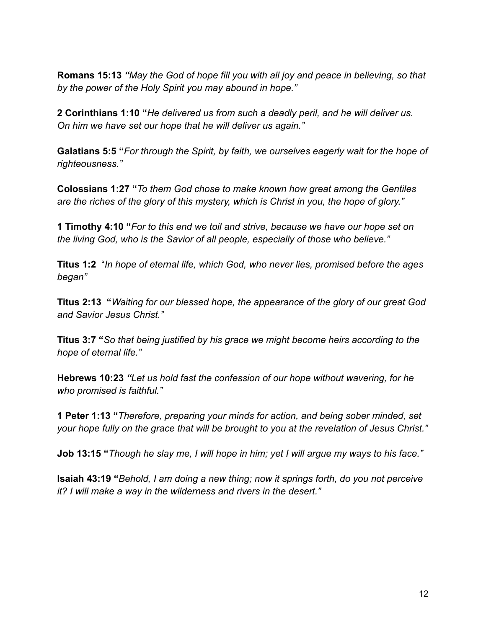**Romans 15:13** *"May the God of hope fill you with all joy and peace in believing, so that by the power of the Holy Spirit you may abound in hope."*

**2 Corinthians 1:10 "***He delivered us from such a deadly peril, and he will deliver us. On him we have set our hope that he will deliver us again."*

**Galatians 5:5 "***For through the Spirit, by faith, we ourselves eagerly wait for the hope of righteousness."*

**Colossians 1:27 "***To them God chose to make known how great among the Gentiles are the riches of the glory of this mystery, which is Christ in you, the hope of glory."*

**1 Timothy 4:10 "***For to this end we toil and strive, because we have our hope set on the living God, who is the Savior of all people, especially of those who believe."*

**Titus 1:2** "*In hope of eternal life, which God, who never lies, promised before the ages began"*

**Titus 2:13 "***Waiting for our blessed hope, the appearance of the glory of our great God and Savior Jesus Christ."*

**Titus 3:7 "***So that being justified by his grace we might become heirs according to the hope of eternal life."*

**Hebrews 10:23** *"Let us hold fast the confession of our hope without wavering, for he who promised is faithful."*

**1 Peter 1:13 "***Therefore, preparing your minds for action, and being sober minded, set your hope fully on the grace that will be brought to you at the revelation of Jesus Christ."*

**Job 13:15 "***Though he slay me, I will hope in him; yet I will argue my ways to his face."*

**Isaiah 43:19 "***Behold, I am doing a new thing; now it springs forth, do you not perceive it? I will make a way in the wilderness and rivers in the desert."*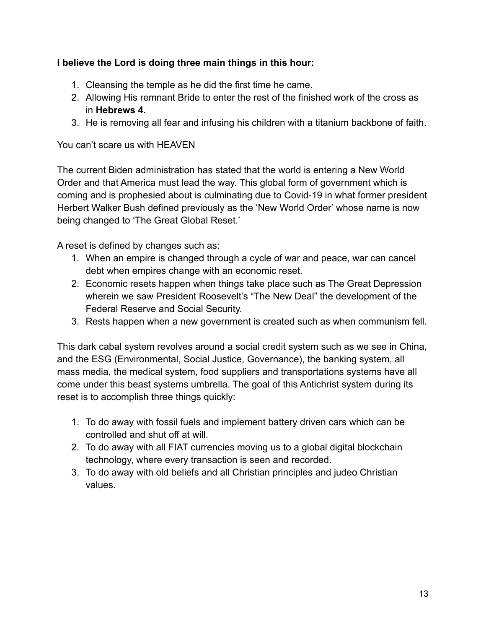# **I believe the Lord is doing three main things in this hour:**

- 1. Cleansing the temple as he did the first time he came.
- 2. Allowing His remnant Bride to enter the rest of the finished work of the cross as in **Hebrews 4.**
- 3. He is removing all fear and infusing his children with a titanium backbone of faith.

You can't scare us with HEAVEN

The current Biden administration has stated that the world is entering a New World Order and that America must lead the way. This global form of government which is coming and is prophesied about is culminating due to Covid-19 in what former president Herbert Walker Bush defined previously as the 'New World Order' whose name is now being changed to 'The Great Global Reset.'

A reset is defined by changes such as:

- 1. When an empire is changed through a cycle of war and peace, war can cancel debt when empires change with an economic reset.
- 2. Economic resets happen when things take place such as The Great Depression wherein we saw President Roosevelt's "The New Deal" the development of the Federal Reserve and Social Security.
- 3. Rests happen when a new government is created such as when communism fell.

This dark cabal system revolves around a social credit system such as we see in China, and the ESG (Environmental, Social Justice, Governance), the banking system, all mass media, the medical system, food suppliers and transportations systems have all come under this beast systems umbrella. The goal of this Antichrist system during its reset is to accomplish three things quickly:

- 1. To do away with fossil fuels and implement battery driven cars which can be controlled and shut off at will.
- 2. To do away with all FIAT currencies moving us to a global digital blockchain technology, where every transaction is seen and recorded.
- 3. To do away with old beliefs and all Christian principles and judeo Christian values.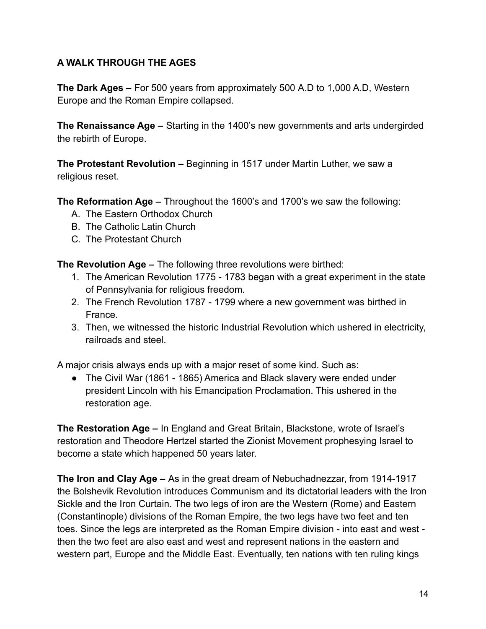# **A WALK THROUGH THE AGES**

**The Dark Ages –** For 500 years from approximately 500 A.D to 1,000 A.D, Western Europe and the Roman Empire collapsed.

**The Renaissance Age –** Starting in the 1400's new governments and arts undergirded the rebirth of Europe.

**The Protestant Revolution –** Beginning in 1517 under Martin Luther, we saw a religious reset.

**The Reformation Age –** Throughout the 1600's and 1700's we saw the following:

- A. The Eastern Orthodox Church
- B. The Catholic Latin Church
- C. The Protestant Church

**The Revolution Age –** The following three revolutions were birthed:

- 1. The American Revolution 1775 1783 began with a great experiment in the state of Pennsylvania for religious freedom.
- 2. The French Revolution 1787 1799 where a new government was birthed in France.
- 3. Then, we witnessed the historic Industrial Revolution which ushered in electricity, railroads and steel.

A major crisis always ends up with a major reset of some kind. Such as:

● The Civil War (1861 - 1865) America and Black slavery were ended under president Lincoln with his Emancipation Proclamation. This ushered in the restoration age.

**The Restoration Age –** In England and Great Britain, Blackstone, wrote of Israel's restoration and Theodore Hertzel started the Zionist Movement prophesying Israel to become a state which happened 50 years later.

**The Iron and Clay Age –** As in the great dream of Nebuchadnezzar, from 1914-1917 the Bolshevik Revolution introduces Communism and its dictatorial leaders with the Iron Sickle and the Iron Curtain. The two legs of iron are the Western (Rome) and Eastern (Constantinople) divisions of the Roman Empire, the two legs have two feet and ten toes. Since the legs are interpreted as the Roman Empire division - into east and west then the two feet are also east and west and represent nations in the eastern and western part, Europe and the Middle East. Eventually, ten nations with ten ruling kings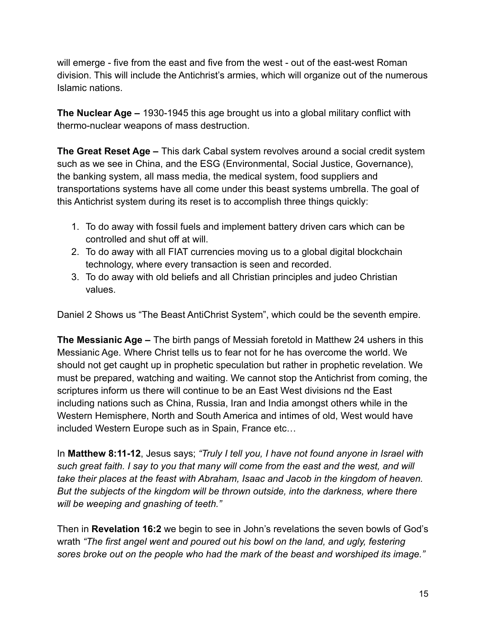will emerge - five from the east and five from the west - out of the east-west Roman division. This will include the Antichrist's armies, which will organize out of the numerous Islamic nations.

**The Nuclear Age –** 1930-1945 this age brought us into a global military conflict with thermo-nuclear weapons of mass destruction.

**The Great Reset Age –** This dark Cabal system revolves around a social credit system such as we see in China, and the ESG (Environmental, Social Justice, Governance), the banking system, all mass media, the medical system, food suppliers and transportations systems have all come under this beast systems umbrella. The goal of this Antichrist system during its reset is to accomplish three things quickly:

- 1. To do away with fossil fuels and implement battery driven cars which can be controlled and shut off at will.
- 2. To do away with all FIAT currencies moving us to a global digital blockchain technology, where every transaction is seen and recorded.
- 3. To do away with old beliefs and all Christian principles and judeo Christian values.

Daniel 2 Shows us "The Beast AntiChrist System", which could be the seventh empire.

**The Messianic Age –** The birth pangs of Messiah foretold in Matthew 24 ushers in this Messianic Age. Where Christ tells us to fear not for he has overcome the world. We should not get caught up in prophetic speculation but rather in prophetic revelation. We must be prepared, watching and waiting. We cannot stop the Antichrist from coming, the scriptures inform us there will continue to be an East West divisions nd the East including nations such as China, Russia, Iran and India amongst others while in the Western Hemisphere, North and South America and intimes of old, West would have included Western Europe such as in Spain, France etc…

In **Matthew 8:11-12**, Jesus says; *"Truly I tell you, I have not found anyone in Israel with such great faith. I say to you that many will come from the east and the west, and will take their places at the feast with Abraham, Isaac and Jacob in the kingdom of heaven. But the subjects of the kingdom will be thrown outside, into the darkness, where there will be weeping and gnashing of teeth."*

Then in **Revelation 16:2** we begin to see in John's revelations the seven bowls of God's wrath *"The first angel went and poured out his bowl on the land, and ugly, festering sores broke out on the people who had the mark of the beast and worshiped its image."*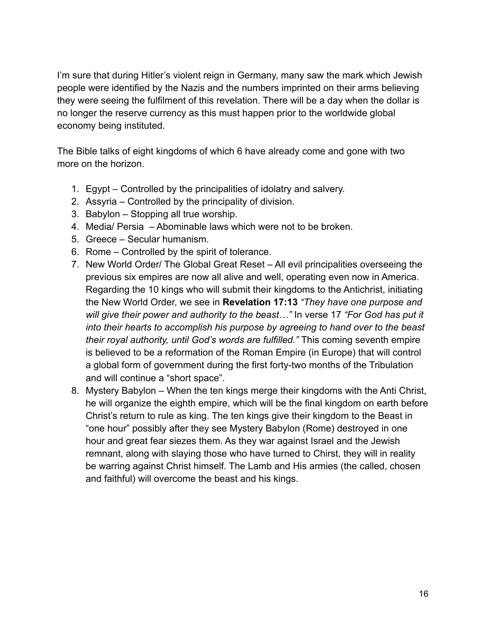I'm sure that during Hitler's violent reign in Germany, many saw the mark which Jewish people were identified by the Nazis and the numbers imprinted on their arms believing they were seeing the fulfilment of this revelation. There will be a day when the dollar is no longer the reserve currency as this must happen prior to the worldwide global economy being instituted.

The Bible talks of eight kingdoms of which 6 have already come and gone with two more on the horizon.

- 1. Egypt Controlled by the principalities of idolatry and salvery.
- 2. Assyria Controlled by the principality of division.
- 3. Babylon Stopping all true worship.
- 4. Media/ Persia Abominable laws which were not to be broken.
- 5. Greece Secular humanism.
- 6. Rome Controlled by the spirit of tolerance.
- 7. New World Order/ The Global Great Reset All evil principalities overseeing the previous six empires are now all alive and well, operating even now in America. Regarding the 10 kings who will submit their kingdoms to the Antichrist, initiating the New World Order, we see in **Revelation 17:13** *"They have one purpose and will give their power and authority to the beast…"* In verse 17 *"For God has put it into their hearts to accomplish his purpose by agreeing to hand over to the beast their royal authority, until God's words are fulfilled."* This coming seventh empire is believed to be a reformation of the Roman Empire (in Europe) that will control a global form of government during the first forty-two months of the Tribulation and will continue a "short space".
- 8. Mystery Babylon When the ten kings merge their kingdoms with the Anti Christ, he will organize the eighth empire, which will be the final kingdom on earth before Christ's return to rule as king. The ten kings give their kingdom to the Beast in "one hour" possibly after they see Mystery Babylon (Rome) destroyed in one hour and great fear siezes them. As they war against Israel and the Jewish remnant, along with slaying those who have turned to Chirst, they will in reality be warring against Christ himself. The Lamb and His armies (the called, chosen and faithful) will overcome the beast and his kings.